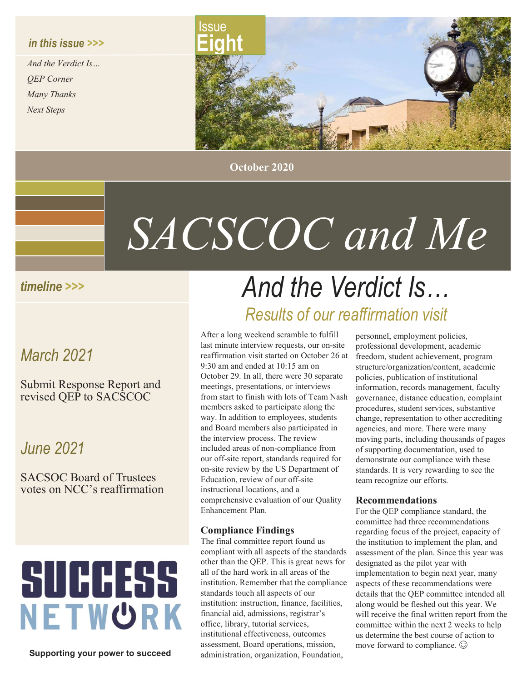### in this issue >>>

And the Verdict Is… QEP Corner Many Thanks Next Steps



October 2020

# SACSCOC and Me

## timeline >>>

## March 2021

Submit Response Report and revised QEP to SACSCOC

## June 2021

SACSOC Board of Trustees votes on NCC's reaffirmation

# **SUCCESS** NETWORK

Supporting your power to succeed

## And the Verdict Is… Results of our reaffirmation visit

After a long weekend scramble to fulfill last minute interview requests, our on-site reaffirmation visit started on October 26 at 9:30 am and ended at 10:15 am on October 29. In all, there were 30 separate meetings, presentations, or interviews from start to finish with lots of Team Nash members asked to participate along the way. In addition to employees, students and Board members also participated in the interview process. The review included areas of non-compliance from our off-site report, standards required for on-site review by the US Department of Education, review of our off-site instructional locations, and a comprehensive evaluation of our Quality Enhancement Plan.

#### Compliance Findings

The final committee report found us compliant with all aspects of the standards other than the QEP. This is great news for all of the hard work in all areas of the institution. Remember that the compliance standards touch all aspects of our institution: instruction, finance, facilities, financial aid, admissions, registrar's office, library, tutorial services, institutional effectiveness, outcomes assessment, Board operations, mission, administration, organization, Foundation,

personnel, employment policies, professional development, academic freedom, student achievement, program structure/organization/content, academic policies, publication of institutional information, records management, faculty governance, distance education, complaint procedures, student services, substantive change, representation to other accrediting agencies, and more. There were many moving parts, including thousands of pages of supporting documentation, used to demonstrate our compliance with these standards. It is very rewarding to see the team recognize our efforts.

#### Recommendations

For the QEP compliance standard, the committee had three recommendations regarding focus of the project, capacity of the institution to implement the plan, and assessment of the plan. Since this year was designated as the pilot year with implementation to begin next year, many aspects of these recommendations were details that the QEP committee intended all along would be fleshed out this year. We will receive the final written report from the committee within the next 2 weeks to help us determine the best course of action to move forward to compliance.  $\odot$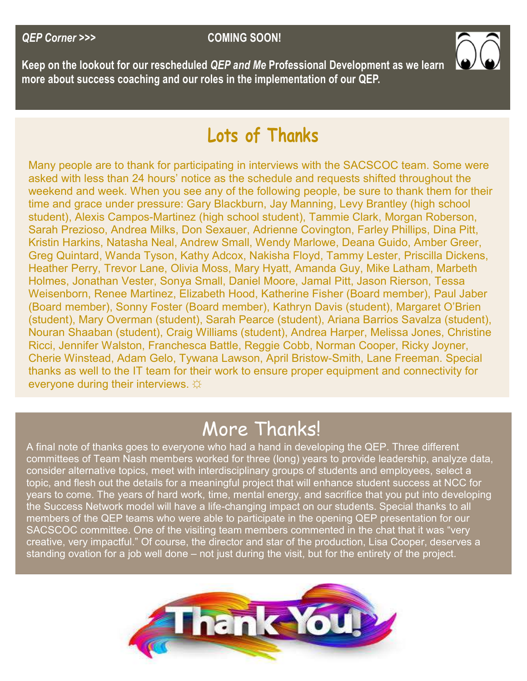

Keep on the lookout for our rescheduled Q*EP and Me* Professional Development as we learn more about success coaching and our roles in the implementation of our QEP.

## Lots of Thanks

Many people are to thank for participating in interviews with the SACSCOC team. Some were asked with less than 24 hours' notice as the schedule and requests shifted throughout the weekend and week. When you see any of the following people, be sure to thank them for their time and grace under pressure: Gary Blackburn, Jay Manning, Levy Brantley (high school student), Alexis Campos-Martinez (high school student), Tammie Clark, Morgan Roberson, Sarah Prezioso, Andrea Milks, Don Sexauer, Adrienne Covington, Farley Phillips, Dina Pitt, Kristin Harkins, Natasha Neal, Andrew Small, Wendy Marlowe, Deana Guido, Amber Greer, Greg Quintard, Wanda Tyson, Kathy Adcox, Nakisha Floyd, Tammy Lester, Priscilla Dickens, Heather Perry, Trevor Lane, Olivia Moss, Mary Hyatt, Amanda Guy, Mike Latham, Marbeth Holmes, Jonathan Vester, Sonya Small, Daniel Moore, Jamal Pitt, Jason Rierson, Tessa Weisenborn, Renee Martinez, Elizabeth Hood, Katherine Fisher (Board member), Paul Jaber (Board member), Sonny Foster (Board member), Kathryn Davis (student), Margaret O'Brien (student), Mary Overman (student), Sarah Pearce (student), Ariana Barrios Savalza (student), Nouran Shaaban (student), Craig Williams (student), Andrea Harper, Melissa Jones, Christine Ricci, Jennifer Walston, Franchesca Battle, Reggie Cobb, Norman Cooper, Ricky Joyner, Cherie Winstead, Adam Gelo, Tywana Lawson, April Bristow-Smith, Lane Freeman. Special thanks as well to the IT team for their work to ensure proper equipment and connectivity for everyone during their interviews.  $\hat{\varphi}$ 

## More Thanks!

A final note of thanks goes to everyone who had a hand in developing the QEP. Three different committees of Team Nash members worked for three (long) years to provide leadership, analyze data, consider alternative topics, meet with interdisciplinary groups of students and employees, select a topic, and flesh out the details for a meaningful project that will enhance student success at NCC for years to come. The years of hard work, time, mental energy, and sacrifice that you put into developing the Success Network model will have a life-changing impact on our students. Special thanks to all members of the QEP teams who were able to participate in the opening QEP presentation for our SACSCOC committee. One of the visiting team members commented in the chat that it was "very creative, very impactful." Of course, the director and star of the production, Lisa Cooper, deserves a standing ovation for a job well done – not just during the visit, but for the entirety of the project.